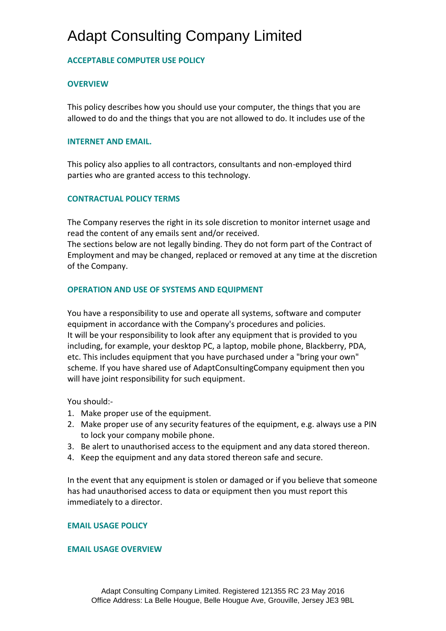## Adapt Consulting Company Limited

## **ACCEPTABLE COMPUTER USE POLICY**

### **OVERVIEW**

This policy describes how you should use your computer, the things that you are allowed to do and the things that you are not allowed to do. It includes use of the

#### **INTERNET AND EMAIL.**

This policy also applies to all contractors, consultants and non-employed third parties who are granted access to this technology.

### **CONTRACTUAL POLICY TERMS**

The Company reserves the right in its sole discretion to monitor internet usage and read the content of any emails sent and/or received.

The sections below are not legally binding. They do not form part of the Contract of Employment and may be changed, replaced or removed at any time at the discretion of the Company.

#### **OPERATION AND USE OF SYSTEMS AND EQUIPMENT**

You have a responsibility to use and operate all systems, software and computer equipment in accordance with the Company's procedures and policies. It will be your responsibility to look after any equipment that is provided to you including, for example, your desktop PC, a laptop, mobile phone, Blackberry, PDA, etc. This includes equipment that you have purchased under a "bring your own" scheme. If you have shared use of AdaptConsultingCompany equipment then you will have joint responsibility for such equipment.

You should:-

- 1. Make proper use of the equipment.
- 2. Make proper use of any security features of the equipment, e.g. always use a PIN to lock your company mobile phone.
- 3. Be alert to unauthorised access to the equipment and any data stored thereon.
- 4. Keep the equipment and any data stored thereon safe and secure.

In the event that any equipment is stolen or damaged or if you believe that someone has had unauthorised access to data or equipment then you must report this immediately to a director.

#### **EMAIL USAGE POLICY**

#### **EMAIL USAGE OVERVIEW**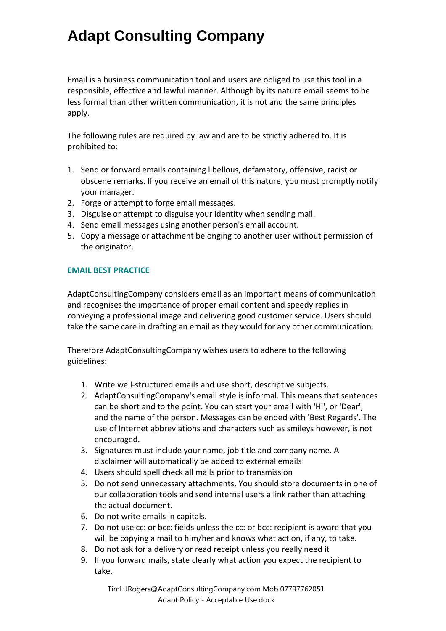Email is a business communication tool and users are obliged to use this tool in a responsible, effective and lawful manner. Although by its nature email seems to be less formal than other written communication, it is not and the same principles apply.

The following rules are required by law and are to be strictly adhered to. It is prohibited to:

- 1. Send or forward emails containing libellous, defamatory, offensive, racist or obscene remarks. If you receive an email of this nature, you must promptly notify your manager.
- 2. Forge or attempt to forge email messages.
- 3. Disguise or attempt to disguise your identity when sending mail.
- 4. Send email messages using another person's email account.
- 5. Copy a message or attachment belonging to another user without permission of the originator.

### **EMAIL BEST PRACTICE**

AdaptConsultingCompany considers email as an important means of communication and recognises the importance of proper email content and speedy replies in conveying a professional image and delivering good customer service. Users should take the same care in drafting an email as they would for any other communication.

Therefore AdaptConsultingCompany wishes users to adhere to the following guidelines:

- 1. Write well-structured emails and use short, descriptive subjects.
- 2. AdaptConsultingCompany's email style is informal. This means that sentences can be short and to the point. You can start your email with 'Hi', or 'Dear', and the name of the person. Messages can be ended with 'Best Regards'. The use of Internet abbreviations and characters such as smileys however, is not encouraged.
- 3. Signatures must include your name, job title and company name. A disclaimer will automatically be added to external emails
- 4. Users should spell check all mails prior to transmission
- 5. Do not send unnecessary attachments. You should store documents in one of our collaboration tools and send internal users a link rather than attaching the actual document.
- 6. Do not write emails in capitals.
- 7. Do not use cc: or bcc: fields unless the cc: or bcc: recipient is aware that you will be copying a mail to him/her and knows what action, if any, to take.
- 8. Do not ask for a delivery or read receipt unless you really need it
- 9. If you forward mails, state clearly what action you expect the recipient to take.

TimHJRogers@AdaptConsultingCompany.com Mob 07797762051 Adapt Policy - Acceptable Use.docx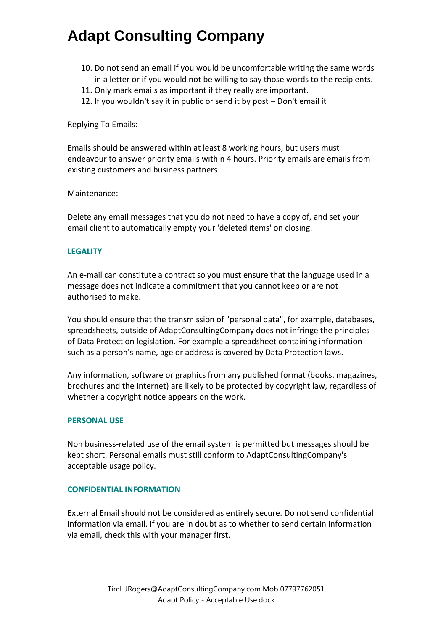- 10. Do not send an email if you would be uncomfortable writing the same words in a letter or if you would not be willing to say those words to the recipients.
- 11. Only mark emails as important if they really are important.
- 12. If you wouldn't say it in public or send it by post Don't email it

Replying To Emails:

Emails should be answered within at least 8 working hours, but users must endeavour to answer priority emails within 4 hours. Priority emails are emails from existing customers and business partners

Maintenance:

Delete any email messages that you do not need to have a copy of, and set your email client to automatically empty your 'deleted items' on closing.

#### **LEGALITY**

An e-mail can constitute a contract so you must ensure that the language used in a message does not indicate a commitment that you cannot keep or are not authorised to make.

You should ensure that the transmission of "personal data", for example, databases, spreadsheets, outside of AdaptConsultingCompany does not infringe the principles of Data Protection legislation. For example a spreadsheet containing information such as a person's name, age or address is covered by Data Protection laws.

Any information, software or graphics from any published format (books, magazines, brochures and the Internet) are likely to be protected by copyright law, regardless of whether a copyright notice appears on the work.

#### **PERSONAL USE**

Non business-related use of the email system is permitted but messages should be kept short. Personal emails must still conform to AdaptConsultingCompany's acceptable usage policy.

#### **CONFIDENTIAL INFORMATION**

External Email should not be considered as entirely secure. Do not send confidential information via email. If you are in doubt as to whether to send certain information via email, check this with your manager first.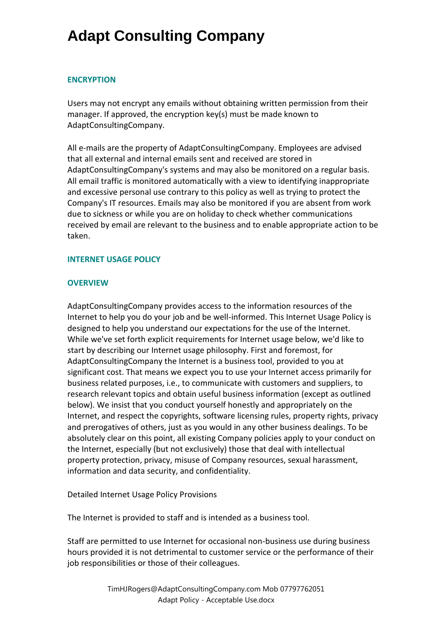#### **ENCRYPTION**

Users may not encrypt any emails without obtaining written permission from their manager. If approved, the encryption key(s) must be made known to AdaptConsultingCompany.

All e-mails are the property of AdaptConsultingCompany. Employees are advised that all external and internal emails sent and received are stored in AdaptConsultingCompany's systems and may also be monitored on a regular basis. All email traffic is monitored automatically with a view to identifying inappropriate and excessive personal use contrary to this policy as well as trying to protect the Company's IT resources. Emails may also be monitored if you are absent from work due to sickness or while you are on holiday to check whether communications received by email are relevant to the business and to enable appropriate action to be taken.

### **INTERNET USAGE POLICY**

### **OVERVIEW**

AdaptConsultingCompany provides access to the information resources of the Internet to help you do your job and be well-informed. This Internet Usage Policy is designed to help you understand our expectations for the use of the Internet. While we've set forth explicit requirements for Internet usage below, we'd like to start by describing our Internet usage philosophy. First and foremost, for AdaptConsultingCompany the Internet is a business tool, provided to you at significant cost. That means we expect you to use your Internet access primarily for business related purposes, i.e., to communicate with customers and suppliers, to research relevant topics and obtain useful business information (except as outlined below). We insist that you conduct yourself honestly and appropriately on the Internet, and respect the copyrights, software licensing rules, property rights, privacy and prerogatives of others, just as you would in any other business dealings. To be absolutely clear on this point, all existing Company policies apply to your conduct on the Internet, especially (but not exclusively) those that deal with intellectual property protection, privacy, misuse of Company resources, sexual harassment, information and data security, and confidentiality.

Detailed Internet Usage Policy Provisions

The Internet is provided to staff and is intended as a business tool.

Staff are permitted to use Internet for occasional non-business use during business hours provided it is not detrimental to customer service or the performance of their job responsibilities or those of their colleagues.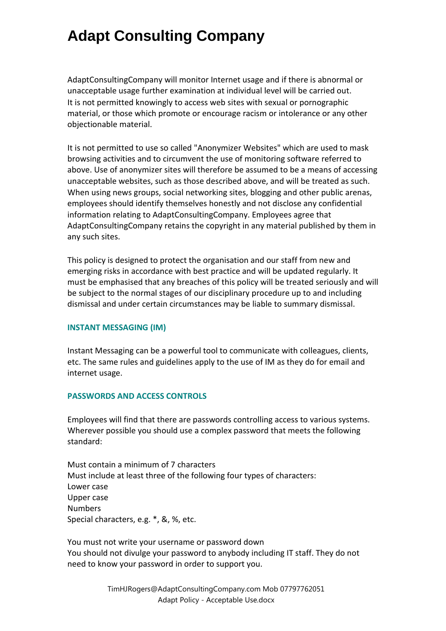AdaptConsultingCompany will monitor Internet usage and if there is abnormal or unacceptable usage further examination at individual level will be carried out. It is not permitted knowingly to access web sites with sexual or pornographic material, or those which promote or encourage racism or intolerance or any other objectionable material.

It is not permitted to use so called "Anonymizer Websites" which are used to mask browsing activities and to circumvent the use of monitoring software referred to above. Use of anonymizer sites will therefore be assumed to be a means of accessing unacceptable websites, such as those described above, and will be treated as such. When using news groups, social networking sites, blogging and other public arenas, employees should identify themselves honestly and not disclose any confidential information relating to AdaptConsultingCompany. Employees agree that AdaptConsultingCompany retains the copyright in any material published by them in any such sites.

This policy is designed to protect the organisation and our staff from new and emerging risks in accordance with best practice and will be updated regularly. It must be emphasised that any breaches of this policy will be treated seriously and will be subject to the normal stages of our disciplinary procedure up to and including dismissal and under certain circumstances may be liable to summary dismissal.

#### **INSTANT MESSAGING (IM)**

Instant Messaging can be a powerful tool to communicate with colleagues, clients, etc. The same rules and guidelines apply to the use of IM as they do for email and internet usage.

#### **PASSWORDS AND ACCESS CONTROLS**

Employees will find that there are passwords controlling access to various systems. Wherever possible you should use a complex password that meets the following standard:

Must contain a minimum of 7 characters Must include at least three of the following four types of characters: Lower case Upper case Numbers Special characters, e.g. \*, &, %, etc.

You must not write your username or password down You should not divulge your password to anybody including IT staff. They do not need to know your password in order to support you.